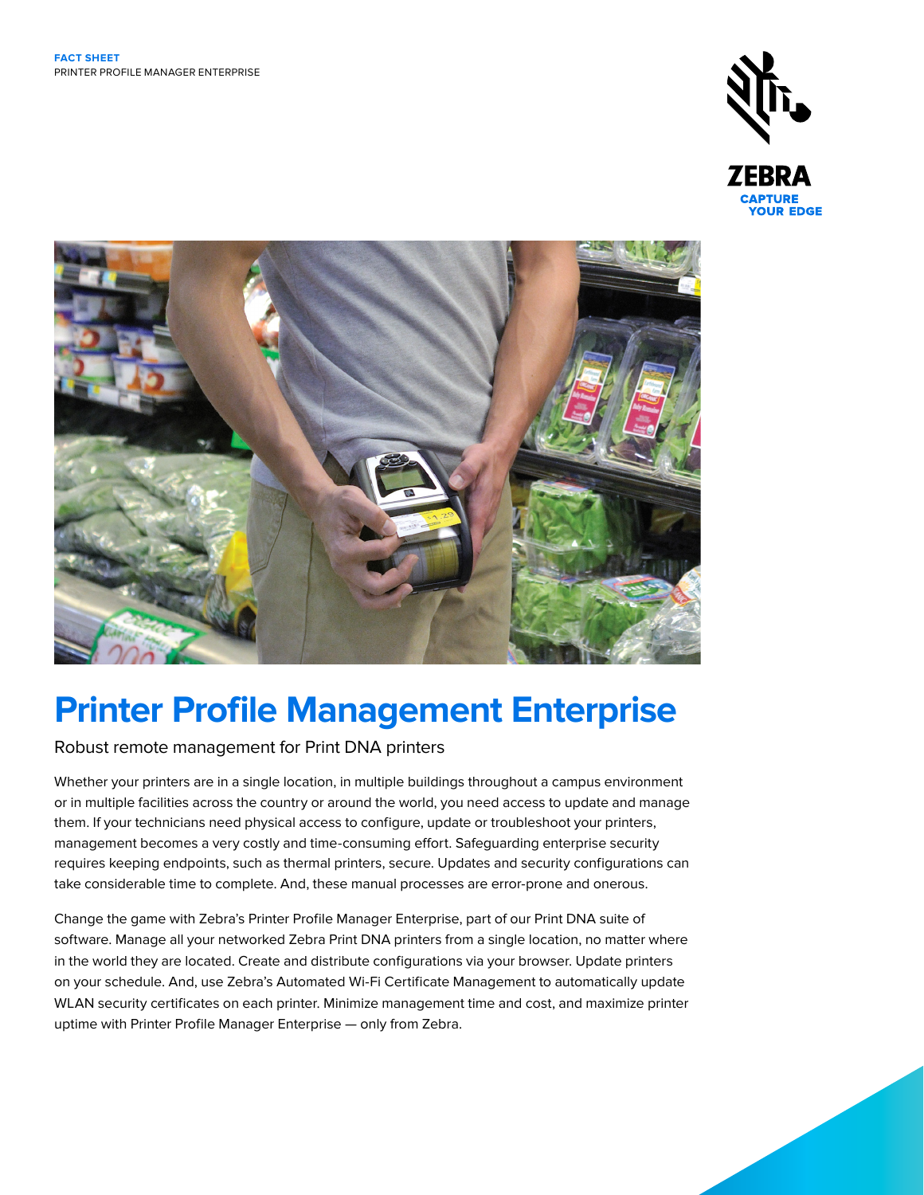



# **Printer Profile Management Enterprise**

# Robust remote management for Print DNA printers

Whether your printers are in a single location, in multiple buildings throughout a campus environment or in multiple facilities across the country or around the world, you need access to update and manage them. If your technicians need physical access to configure, update or troubleshoot your printers, management becomes a very costly and time-consuming effort. Safeguarding enterprise security requires keeping endpoints, such as thermal printers, secure. Updates and security configurations can take considerable time to complete. And, these manual processes are error-prone and onerous.

Change the game with Zebra's Printer Profile Manager Enterprise, part of our Print DNA suite of software. Manage all your networked Zebra Print DNA printers from a single location, no matter where in the world they are located. Create and distribute configurations via your browser. Update printers on your schedule. And, use Zebra's Automated Wi-Fi Certificate Management to automatically update WLAN security certificates on each printer. Minimize management time and cost, and maximize printer uptime with Printer Profile Manager Enterprise — only from Zebra.